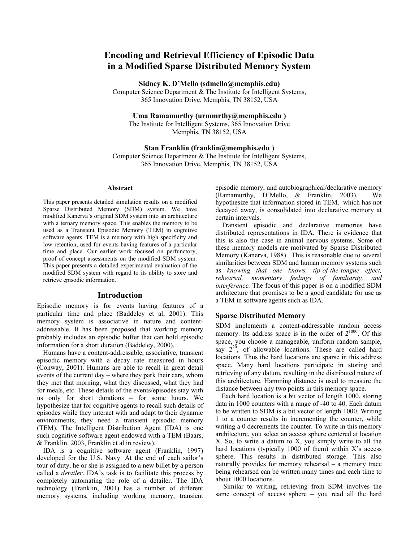# **Encoding and Retrieval Efficiency of Episodic Data in a Modified Sparse Distributed Memory System**

**Sidney K. D'Mello (sdmello@memphis.edu)** 

Computer Science Department & The Institute for Intelligent Systems, 365 Innovation Drive, Memphis, TN 38152, USA

**Uma Ramamurthy (urmmrthy@memphis.edu )** 

The Institute for Intelligent Systems, 365 Innovation Drive Memphis, TN 38152, USA

#### **Stan Franklin (franklin@memphis.edu )**

Computer Science Department & The Institute for Intelligent Systems, 365 Innovation Drive, Memphis, TN 38152, USA

#### **Abstract**

This paper presents detailed simulation results on a modified Sparse Distributed Memory (SDM) system. We have modified Kanerva's original SDM system into an architecture with a ternary memory space. This enables the memory to be used as a Transient Episodic Memory (TEM) in cognitive software agents. TEM is a memory with high specificity and low retention, used for events having features of a particular time and place. Our earlier work focused on perfunctory, proof of concept assessments on the modified SDM system. This paper presents a detailed experimental evaluation of the modified SDM system with regard to its ability to store and retrieve episodic information.

# **Introduction**

Episodic memory is for events having features of a particular time and place (Baddeley et al, 2001). This memory system is associative in nature and contentaddressable. It has been proposed that working memory probably includes an episodic buffer that can hold episodic information for a short duration (Baddeley, 2000).

Humans have a content-addressable, associative, transient episodic memory with a decay rate measured in hours (Conway, 2001). Humans are able to recall in great detail events of the current day – where they park their cars, whom they met that morning, what they discussed, what they had for meals, etc. These details of the events/episodes stay with us only for short durations – for some hours. We hypothesize that for cognitive agents to recall such details of episodes while they interact with and adapt to their dynamic environments, they need a transient episodic memory (TEM). The Intelligent Distribution Agent (IDA) is one such cognitive software agent endowed with a TEM (Baars, & Franklin. 2003, Franklin et al in review).

IDA is a cognitive software agent (Franklin, 1997) developed for the U.S. Navy. At the end of each sailor's tour of duty, he or she is assigned to a new billet by a person called a *detailer*. IDA's task is to facilitate this process by completely automating the role of a detailer. The IDA technology (Franklin, 2001) has a number of different memory systems, including working memory, transient episodic memory, and autobiographical/declarative memory (Ramamurthy, D'Mello, & Franklin, 2003). We hypothesize that information stored in TEM, which has not decayed away, is consolidated into declarative memory at certain intervals.

Transient episodic and declarative memories have distributed representations in IDA. There is evidence that this is also the case in animal nervous systems. Some of these memory models are motivated by Sparse Distributed Memory (Kanerva, 1988). This is reasonable due to several similarities between SDM and human memory systems such as *knowing that one knows, tip-of-the-tongue effect, rehearsal, momentary feelings of familiarity, and interference.* The focus of this paper is on a modified SDM architecture that promises to be a good candidate for use as a TEM in software agents such as IDA.

## **Sparse Distributed Memory**

SDM implements a content-addressable random access memory. Its address space is in the order of  $2^{1000}$ . Of this space, you choose a manageable, uniform random sample, say  $2^{20}$ , of allowable locations. These are called hard locations. Thus the hard locations are sparse in this address space. Many hard locations participate in storing and retrieving of any datum, resulting in the distributed nature of this architecture. Hamming distance is used to measure the distance between any two points in this memory space.

Each hard location is a bit vector of length 1000, storing data in 1000 counters with a range of -40 to 40. Each datum to be written to SDM is a bit vector of length 1000. Writing 1 to a counter results in incrementing the counter, while writing a 0 decrements the counter. To write in this memory architecture, you select an access sphere centered at location X. So, to write a datum to X, you simply write to all the hard locations (typically 1000 of them) within X's access sphere. This results in distributed storage. This also naturally provides for memory rehearsal – a memory trace being rehearsed can be written many times and each time to about 1000 locations.

 Similar to writing, retrieving from SDM involves the same concept of access sphere – you read all the hard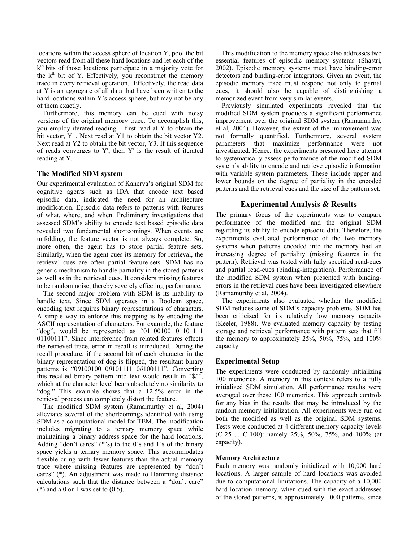locations within the access sphere of location Y, pool the bit vectors read from all these hard locations and let each of the  $k<sup>th</sup>$  bits of those locations participate in a majority vote for the  $k<sup>th</sup>$  bit of Y. Effectively, you reconstruct the memory trace in every retrieval operation. Effectively, the read data at Y is an aggregate of all data that have been written to the hard locations within Y's access sphere, but may not be any of them exactly.

Furthermore, this memory can be cued with noisy versions of the original memory trace. To accomplish this, you employ iterated reading – first read at Y to obtain the bit vector, Y1. Next read at Y1 to obtain the bit vector Y2. Next read at Y2 to obtain the bit vector, Y3. If this sequence of reads converges to Y', then Y' is the result of iterated reading at Y.

# **The Modified SDM system**

Our experimental evaluation of Kanerva's original SDM for cognitive agents such as IDA that encode text based episodic data, indicated the need for an architecture modification. Episodic data refers to patterns with features of what, where, and when. Preliminary investigations that assessed SDM's ability to encode text based episodic data revealed two fundamental shortcomings. When events are unfolding, the feature vector is not always complete. So, more often, the agent has to store partial feature sets. Similarly, when the agent cues its memory for retrieval, the retrieval cues are often partial feature-sets. SDM has no generic mechanism to handle partiality in the stored patterns as well as in the retrieval cues. It considers missing features to be random noise, thereby severely effecting performance.

The second major problem with SDM is its inability to handle text. Since SDM operates in a Boolean space, encoding text requires binary representations of characters. A simple way to enforce this mapping is by encoding the ASCII representation of characters. For example, the feature "dog", would be represented as "01100100 01101111 01100111". Since interference from related features effects the retrieved trace, error in recall is introduced. During the recall procedure, if the second bit of each character in the binary representation of dog is flipped, the resultant binary patterns is "0*0*100100 0*0*101111 0*0*100111". Converting this recalled binary pattern into text would result in "\$/'", which at the character level bears absolutely no similarity to "dog." This example shows that a 12.5% error in the retrieval process can completely distort the feature.

The modified SDM system (Ramamurthy et al, 2004) alleviates several of the shortcomings identified with using SDM as a computational model for TEM. The modification includes migrating to a ternary memory space while maintaining a binary address space for the hard locations. Adding "don't cares" (\*'s) to the 0's and 1's of the binary space yields a ternary memory space. This accommodates flexible cuing with fewer features than the actual memory trace where missing features are represented by "don't cares" (\*). An adjustment was made to Hamming distance calculations such that the distance between a "don't care"  $(*)$  and a 0 or 1 was set to  $(0.5)$ .

This modification to the memory space also addresses two essential features of episodic memory systems (Shastri, 2002). Episodic memory systems must have binding-error detectors and binding-error integrators. Given an event, the episodic memory trace must respond not only to partial cues, it should also be capable of distinguishing a memorized event from very similar events.

Previously simulated experiments revealed that the modified SDM system produces a significant performance improvement over the original SDM system (Ramamurthy, et al, 2004). However, the extent of the improvement was not formally quantified. Furthermore, several system parameters that maximize performance were not investigated. Hence, the experiments presented here attempt to systematically assess performance of the modified SDM system's ability to encode and retrieve episodic information with variable system parameters. These include upper and lower bounds on the degree of partiality in the encoded patterns and the retrieval cues and the size of the pattern set.

# **Experimental Analysis & Results**

The primary focus of the experiments was to compare performance of the modified and the original SDM regarding its ability to encode episodic data. Therefore, the experiments evaluated performance of the two memory systems when patterns encoded into the memory had an increasing degree of partiality (missing features in the pattern). Retrieval was tested with fully specified read-cues and partial read-cues (binding-integration). Performance of the modified SDM system when presented with bindingerrors in the retrieval cues have been investigated elsewhere (Ramamurthy et al, 2004).

The experiments also evaluated whether the modified SDM reduces some of SDM's capacity problems. SDM has been criticized for its relatively low memory capacity (Keeler, 1988). We evaluated memory capacity by testing storage and retrieval performance with pattern sets that fill the memory to approximately 25%, 50%, 75%, and 100% capacity.

# **Experimental Setup**

The experiments were conducted by randomly initializing 100 memories. A memory in this context refers to a fully initialized SDM simulation. All performance results were averaged over these 100 memories. This approach controls for any bias in the results that may be introduced by the random memory initialization. All experiments were run on both the modified as well as the original SDM systems. Tests were conducted at 4 different memory capacity levels (C-25 ... C-100): namely 25%, 50%, 75%, and 100% (at capacity).

## **Memory Architecture**

Each memory was randomly initialized with 10,000 hard locations. A larger sample of hard locations was avoided due to computational limitations. The capacity of a 10,000 hard-location-memory, when cued with the exact addresses of the stored patterns, is approximately 1000 patterns, since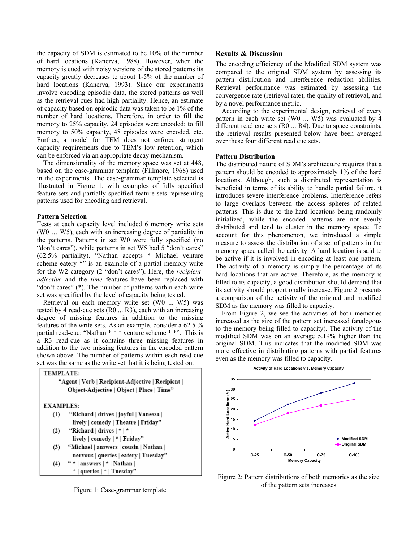the capacity of SDM is estimated to be 10% of the number of hard locations (Kanerva, 1988). However, when the memory is cued with noisy versions of the stored patterns its capacity greatly decreases to about 1-5% of the number of hard locations (Kanerva, 1993). Since our experiments involve encoding episodic data, the stored patterns as well as the retrieval cues had high partiality. Hence, an estimate of capacity based on episodic data was taken to be 1% of the number of hard locations. Therefore, in order to fill the memory to 25% capacity, 24 episodes were encoded; to fill memory to 50% capacity, 48 episodes were encoded, etc. Further, a model for TEM does not enforce stringent capacity requirements due to TEM's low retention, which can be enforced via an appropriate decay mechanism.

The dimensionality of the memory space was set at 448, based on the case-grammar template (Fillmore, 1968) used in the experiments. The case-grammar template selected is illustrated in Figure 1, with examples of fully specified feature-sets and partially specified feature-sets representing patterns used for encoding and retrieval.

## **Pattern Selection**

Tests at each capacity level included 6 memory write sets (W0 … W5), each with an increasing degree of partiality in the patterns. Patterns in set W0 were fully specified (no "don't cares"), while patterns in set W5 had 5 "don't cares" (62.5% partiality). "Nathan accepts \* Michael venture scheme eatery \*" is an example of a partial memory-write for the W2 category (2 "don't cares"). Here, the *recipientadjective* and the *time* features have been replaced with "don't cares" (\*). The number of patterns within each write set was specified by the level of capacity being tested.

Retrieval on each memory write set (W0 ... W5) was tested by 4 read-cue sets (R0 ... R3), each with an increasing degree of missing features in addition to the missing features of the write sets. As an example, consider a 62.5 % partial read-cue: "Nathan \* \* \* venture scheme \* \*". This is a R3 read-cue as it contains three missing features in addition to the two missing features in the encoded pattern shown above. The number of patterns within each read-cue set was the same as the write set that it is being tested on.

#### TEMPLATE:



Figure 1: Case-grammar template

#### **Results & Discussion**

The encoding efficiency of the Modified SDM system was compared to the original SDM system by assessing its pattern distribution and interference reduction abilities. Retrieval performance was estimated by assessing the convergence rate (retrieval rate), the quality of retrieval, and by a novel performance metric.

According to the experimental design, retrieval of every pattern in each write set (W0 ... W5) was evaluated by 4 different read cue sets (R0 ... R4). Due to space constraints, the retrieval results presented below have been averaged over these four different read cue sets.

## **Pattern Distribution**

The distributed nature of SDM's architecture requires that a pattern should be encoded to approximately 1% of the hard locations. Although, such a distributed representation is beneficial in terms of its ability to handle partial failure, it introduces severe interference problems. Interference refers to large overlaps between the access spheres of related patterns. This is due to the hard locations being randomly initialized, while the encoded patterns are not evenly distributed and tend to cluster in the memory space. To account for this phenomenon, we introduced a simple measure to assess the distribution of a set of patterns in the memory space called the activity. A hard location is said to be active if it is involved in encoding at least one pattern. The activity of a memory is simply the percentage of its hard locations that are active. Therefore, as the memory is filled to its capacity, a good distribution should demand that its activity should proportionally increase. Figure 2 presents a comparison of the activity of the original and modified SDM as the memory was filled to capacity.

From Figure 2, we see the activities of both memories increased as the size of the pattern set increased (analogous to the memory being filled to capacity). The activity of the modified SDM was on an average 5.19% higher than the original SDM. This indicates that the modified SDM was more effective in distributing patterns with partial features even as the memory was filled to capacity.

#### **Activity of Hard Locations v.s. Memory Capacity**



Figure 2: Pattern distributions of both memories as the size of the pattern sets increases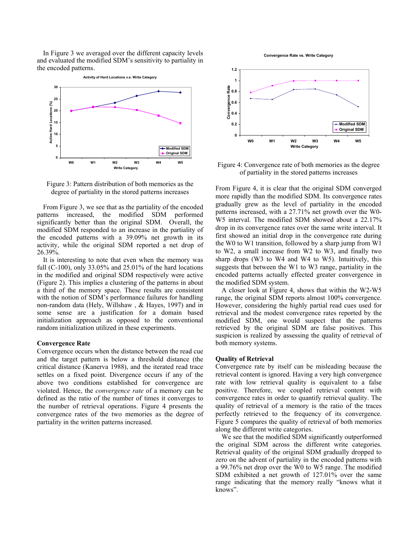In Figure 3 we averaged over the different capacity levels and evaluated the modified SDM's sensitivity to partiality in the encoded patterns.



Figure 3: Pattern distribution of both memories as the degree of partiality in the stored patterns increases

From Figure 3, we see that as the partiality of the encoded patterns increased, the modified SDM performed significantly better than the original SDM. Overall, the modified SDM responded to an increase in the partiality of the encoded patterns with a 39.09% net growth in its activity, while the original SDM reported a net drop of 26.39%.

It is interesting to note that even when the memory was full (C-100), only 33.05% and 25.01% of the hard locations in the modified and original SDM respectively were active (Figure 2). This implies a clustering of the patterns in about a third of the memory space. These results are consistent with the notion of SDM's performance failures for handling non-random data (Hely, Willshaw , & Hayes, 1997) and in some sense are a justification for a domain based initialization approach as opposed to the conventional random initialization utilized in these experiments.

#### **Convergence Rate**

Convergence occurs when the distance between the read cue and the target pattern is below a threshold distance (the critical distance (Kanerva 1988), and the iterated read trace settles on a fixed point. Divergence occurs if any of the above two conditions established for convergence are violated. Hence, the *convergence rate* of a memory can be defined as the ratio of the number of times it converges to the number of retrieval operations. Figure 4 presents the convergence rates of the two memories as the degree of partiality in the written patterns increased.





Figure 4: Convergence rate of both memories as the degree of partiality in the stored patterns increases

From Figure 4, it is clear that the original SDM converged more rapidly than the modified SDM. Its convergence rates gradually grew as the level of partiality in the encoded patterns increased, with a 27.71% net growth over the W0- W5 interval. The modified SDM showed about a 22.17% drop in its convergence rates over the same write interval. It first showed an initial drop in the convergence rate during the W0 to W1 transition, followed by a sharp jump from W1 to W2, a small increase from W2 to W3, and finally two sharp drops (W3 to W4 and W4 to W5). Intuitively, this suggests that between the W1 to W3 range, partiality in the encoded patterns actually effected greater convergence in the modified SDM system.

A closer look at Figure 4, shows that within the W2-W5 range, the original SDM reports almost 100% convergence. However, considering the highly partial read cues used for retrieval and the modest convergence rates reported by the modified SDM, one would suspect that the patterns retrieved by the original SDM are false positives. This suspicion is realized by assessing the quality of retrieval of both memory systems.

#### **Quality of Retrieval**

Convergence rate by itself can be misleading because the retrieval content is ignored. Having a very high convergence rate with low retrieval quality is equivalent to a false positive. Therefore, we coupled retrieval content with convergence rates in order to quantify retrieval quality. The quality of retrieval of a memory is the ratio of the traces perfectly retrieved to the frequency of its convergence. Figure 5 compares the quality of retrieval of both memories along the different write categories.

We see that the modified SDM significantly outperformed the original SDM across the different write categories. Retrieval quality of the original SDM gradually dropped to zero on the advent of partiality in the encoded patterns with a 99.76% net drop over the W0 to W5 range. The modified SDM exhibited a net growth of 127.01% over the same range indicating that the memory really "knows what it knows".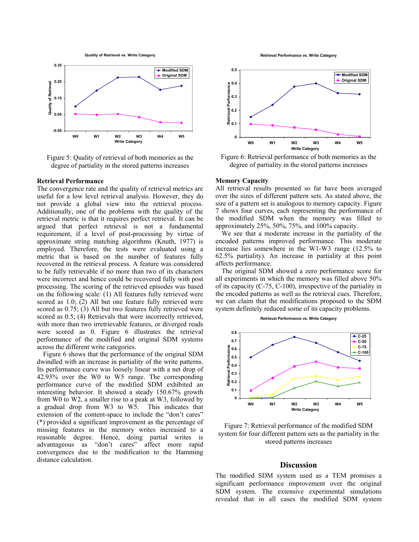**Quality of Retrieval vs. Write Category**



Figure 5: Quality of retrieval of both memories as the degree of partiality in the stored patterns increases

#### **Retrieval Performance**

The convergence rate and the quality of retrieval metrics are useful for a low level retrieval analysis. However, they do not provide a global view into the retrieval process. Additionally, one of the problems with the quality of the retrieval metric is that it requires perfect retrieval. It can be argued that perfect retrieval is not a fundamental requirement, if a level of post-processing by virtue of approximate string matching algorithms (Knuth, 1977) is employed. Therefore, the tests were evaluated using a metric that is based on the number of features fully recovered in the retrieval process. A feature was considered to be fully retrievable if no more than two of its characters were incorrect and hence could be recovered fully with post processing. The scoring of the retrieved episodes was based on the following scale: (1) All features fully retrieved were scored as 1.0; (2) All but one feature fully retrieved were scored as 0.75; (3) All but two features fully retrieved were scored as 0.5; (4) Retrievals that were incorrectly retrieved, with more than two irretrievable features, or diverged reads were scored as 0. Figure 6 illustrates the retrieval performance of the modified and original SDM systems across the different write categories.

Figure 6 shows that the performance of the original SDM dwindled with an increase in partiality of the write patterns. Its performance curve was loosely linear with a net drop of 42.93% over the W0 to W5 range. The corresponding performance curve of the modified SDM exhibited an interesting behavior. It showed a steady 150.67% growth from W0 to W2, a smaller rise to a peak at W3, followed by a gradual drop from W3 to W5. This indicates that extension of the content-space to include the "don't cares" (\*) provided a significant improvement as the percentage of missing features in the memory writes increased to a reasonable degree. Hence, doing partial writes is advantageous as "don't cares" affect more rapid convergences due to the modification to the Hamming distance calculation.

**Retrieval Performance vs. Write Category**



Figure 6: Retrieval performance of both memories as the degree of partiality in the stored patterns increases

## **Memory Capacity**

All retrieval results presented so far have been averaged over the sizes of different pattern sets. As stated above, the size of a pattern set is analogous to memory capacity. Figure 7 shows four curves, each representing the performance of the modified SDM when the memory was filled to approximately 25%, 50%, 75%, and 100% capacity.

We see that a moderate increase in the partiality of the encoded patterns improved performance. This moderate increase lies somewhere in the W1-W3 range (12.5% to 62.5% partiality). An increase in partiality at this point affects performance.

The original SDM showed a zero performance score for all experiments in which the memory was filled above 50% of its capacity (C-75, C-100), irrespective of the partiality in the encoded patterns as well as the retrieval cues. Therefore, we can claim that the modifications proposed to the SDM system definitely reduced some of its capacity problems.

**Retrieval Performance vs. Write Category**



Figure 7: Retrieval performance of the modified SDM system for four different pattern sets as the partiality in the stored patterns increases

#### **Discussion**

The modified SDM system used as a TEM promises a significant performance improvement over the original SDM system. The extensive experimental simulations revealed that in all cases the modified SDM system